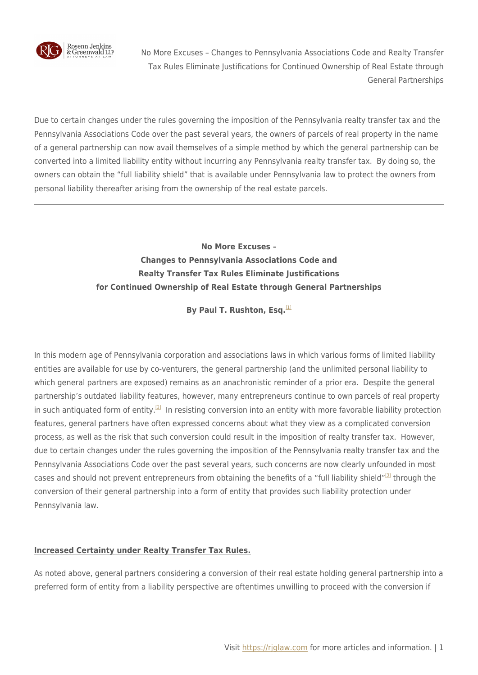

Due to certain changes under the rules governing the imposition of the Pennsylvania realty transfer tax and the Pennsylvania Associations Code over the past several years, the owners of parcels of real property in the name of a general partnership can now avail themselves of a simple method by which the general partnership can be converted into a limited liability entity without incurring any Pennsylvania realty transfer tax. By doing so, the owners can obtain the "full liability shield" that is available under Pennsylvania law to protect the owners from personal liability thereafter arising from the ownership of the real estate parcels.

## **No More Excuses – Changes to Pennsylvania Associations Code and Realty Transfer Tax Rules Eliminate Justifications for Continued Ownership of Real Estate through General Partnerships**

**By Paul T. Rushton, Esq.**<sup>[\[1\]](#page--1-0)</sup>

In this modern age of Pennsylvania corporation and associations laws in which various forms of limited liability entities are available for use by co-venturers, the general partnership (and the unlimited personal liability to which general partners are exposed) remains as an anachronistic reminder of a prior era. Despite the general partnership's outdated liability features, however, many entrepreneurs continue to own parcels of real property in such antiquated form of entity.<sup>[\[2\]](#page--1-0)</sup> In resisting conversion into an entity with more favorable liability protection features, general partners have often expressed concerns about what they view as a complicated conversion process, as well as the risk that such conversion could result in the imposition of realty transfer tax. However, due to certain changes under the rules governing the imposition of the Pennsylvania realty transfer tax and the Pennsylvania Associations Code over the past several years, such concerns are now clearly unfounded in most cases and should not prevent entrepreneurs from obtaining the benefits of a "full liability shield"<sup>[\[3\]](#page--1-0)</sup> through the conversion of their general partnership into a form of entity that provides such liability protection under Pennsylvania law.

## **Increased Certainty under Realty Transfer Tax Rules.**

As noted above, general partners considering a conversion of their real estate holding general partnership into a preferred form of entity from a liability perspective are oftentimes unwilling to proceed with the conversion if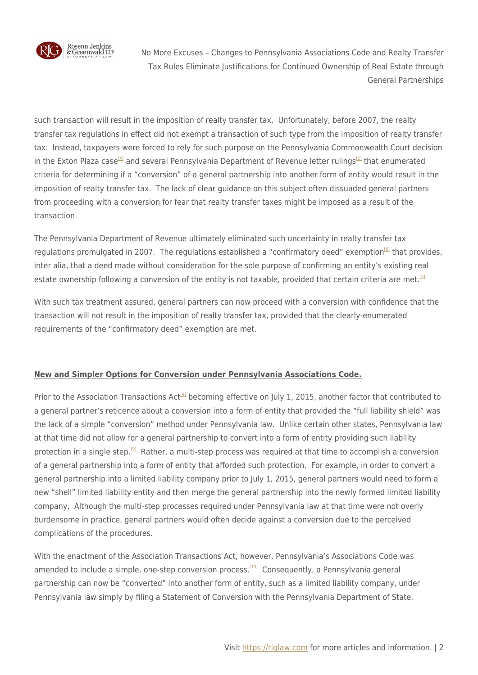

such transaction will result in the imposition of realty transfer tax. Unfortunately, before 2007, the realty transfer tax regulations in effect did not exempt a transaction of such type from the imposition of realty transfer tax. Instead, taxpayers were forced to rely for such purpose on the Pennsylvania Commonwealth Court decision in the Exton Plaza case<sup>[\[4\]](#page--1-0)</sup> and several Pennsylvania Department of Revenue letter rulings<sup>[\[5\]](#page--1-0)</sup> that enumerated criteria for determining if a "conversion" of a general partnership into another form of entity would result in the imposition of realty transfer tax. The lack of clear guidance on this subject often dissuaded general partners from proceeding with a conversion for fear that realty transfer taxes might be imposed as a result of the transaction.

The Pennsylvania Department of Revenue ultimately eliminated such uncertainty in realty transfer tax regulations promulgated in 2007. The regulations established a "confirmatory deed" exemption<sup>[\[6\]](#page--1-0)</sup> that provides, inter alia, that a deed made without consideration for the sole purpose of confirming an entity's existing real estate ownership following a conversion of the entity is not taxable, provided that certain criteria are met.<sup>[\[7\]](#page--1-0)</sup>

With such tax treatment assured, general partners can now proceed with a conversion with confidence that the transaction will not result in the imposition of realty transfer tax, provided that the clearly-enumerated requirements of the "confirmatory deed" exemption are met.

## **New and Simpler Options for Conversion under Pennsylvania Associations Code.**

Prior to the Association Transactions Act<sup>[\[8\]](#page--1-0)</sup> becoming effective on July 1, 2015, another factor that contributed to a general partner's reticence about a conversion into a form of entity that provided the "full liability shield" was the lack of a simple "conversion" method under Pennsylvania law. Unlike certain other states, Pennsylvania law at that time did not allow for a general partnership to convert into a form of entity providing such liability protection in a single step.<sup>[\[9\]](#page--1-0)</sup> Rather, a multi-step process was required at that time to accomplish a conversion of a general partnership into a form of entity that afforded such protection. For example, in order to convert a general partnership into a limited liability company prior to July 1, 2015, general partners would need to form a new "shell" limited liability entity and then merge the general partnership into the newly formed limited liability company. Although the multi-step processes required under Pennsylvania law at that time were not overly burdensome in practice, general partners would often decide against a conversion due to the perceived complications of the procedures.

With the enactment of the Association Transactions Act, however, Pennsylvania's Associations Code was amended to include a simple, one-step conversion process.<sup>[\[10\]](#page--1-0)</sup> Consequently, a Pennsylvania general partnership can now be "converted" into another form of entity, such as a limited liability company, under Pennsylvania law simply by filing a Statement of Conversion with the Pennsylvania Department of State.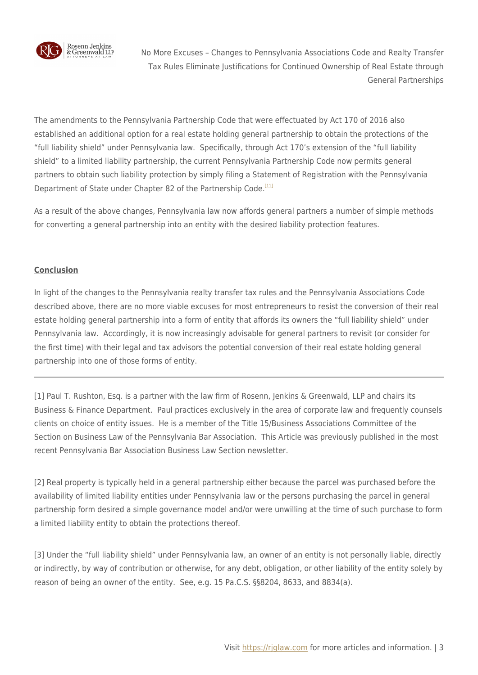

The amendments to the Pennsylvania Partnership Code that were effectuated by Act 170 of 2016 also established an additional option for a real estate holding general partnership to obtain the protections of the "full liability shield" under Pennsylvania law. Specifically, through Act 170's extension of the "full liability shield" to a limited liability partnership, the current Pennsylvania Partnership Code now permits general partners to obtain such liability protection by simply filing a Statement of Registration with the Pennsylvania Department of State under Chapter 82 of the Partnership Code.<sup>[\[11\]](#page--1-0)</sup>

As a result of the above changes, Pennsylvania law now affords general partners a number of simple methods for converting a general partnership into an entity with the desired liability protection features.

## **Conclusion**

In light of the changes to the Pennsylvania realty transfer tax rules and the Pennsylvania Associations Code described above, there are no more viable excuses for most entrepreneurs to resist the conversion of their real estate holding general partnership into a form of entity that affords its owners the "full liability shield" under Pennsylvania law. Accordingly, it is now increasingly advisable for general partners to revisit (or consider for the first time) with their legal and tax advisors the potential conversion of their real estate holding general partnership into one of those forms of entity.

[1] Paul T. Rushton, Esq. is a partner with the law firm of Rosenn, Jenkins & Greenwald, LLP and chairs its Business & Finance Department. Paul practices exclusively in the area of corporate law and frequently counsels clients on choice of entity issues. He is a member of the Title 15/Business Associations Committee of the Section on Business Law of the Pennsylvania Bar Association. This Article was previously published in the most recent Pennsylvania Bar Association Business Law Section newsletter.

[2] Real property is typically held in a general partnership either because the parcel was purchased before the availability of limited liability entities under Pennsylvania law or the persons purchasing the parcel in general partnership form desired a simple governance model and/or were unwilling at the time of such purchase to form a limited liability entity to obtain the protections thereof.

[3] Under the "full liability shield" under Pennsylvania law, an owner of an entity is not personally liable, directly or indirectly, by way of contribution or otherwise, for any debt, obligation, or other liability of the entity solely by reason of being an owner of the entity. See, e.g. 15 Pa.C.S. §§8204, 8633, and 8834(a).